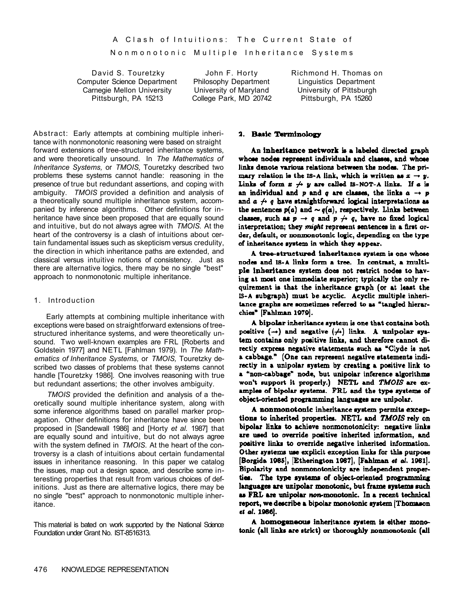Nonmonotonic Multiple Inheritance Systems

David S. Touretzky John F. Horty Richmond H. Thomas on Computer Science Department Philosophy Department Linguistics Department Carnegie Mellon University University of Maryland University of Pittsburgh Carnegie Mellon University University of Maryland University of Pittsburgh Pittsburgh, PA 15213 College Park, MD 20742 Pittsburgh, PA 15260

Abstract: Early attempts at combining multiple inheritance with nonmonotonic reasoning were based on straight forward extensions of tree-structured inheritance systems, and were theoretically unsound. In *The Mathematics of Inheritance Systems,* or *TMOIS,* Touretzky described two problems these systems cannot handle: reasoning in the presence of true but redundant assertions, and coping with ambiguity. *TMOIS* provided a definition and analysis of a theoretically sound multiple inheritance system, accompanied by inference algorithms. Other definitions for inheritance have since been proposed that are equally sound and intuitive, but do not always agree with *TMOIS.* At the heart of the controversy is a clash of intuitions about certain fundamental issues such as skepticism versus credulity, the direction in which inheritance paths are extended, and classical versus intuitive notions of consistency. Just as there are alternative logics, there may be no single "best" approach to nonmonotonic multiple inheritance.

#### 1. Introduction

Early attempts at combining multiple inheritance with exceptions were based on straightforward extensions of treestructured inheritance systems, and were theoretically unsound. Two well-known examples are FRL [Roberts and Goldstein 1977] and NETL [Fahlman 1979). In *The Mathematics of Inheritance Systems,* or *TMOIS,* Touretzky described two classes of problems that these systems cannot handle [Touretzky 1986]. One involves reasoning with true but redundant assertions; the other involves ambiguity.

*TMOIS* provided the definition and analysis of a theoretically sound multiple inheritance system, along with some inference algorithms based on parallel marker propagation. Other definitions for inheritance have since been proposed in [Sandewall 1986] and [Horty *et al.* 1987] that are equally sound and intuitive, but do not always agree with the system defined in *TMOIS.* At the heart of the controversy is a clash of intuitions about certain fundamental issues in inheritance reasoning. In this paper we catalog the issues, map out a design space, and describe some interesting properties that result from various choices of definitions. Just as there are alternative logics, there may be no single "best" approach to nonmonotonic multiple inheritance.

This material is bated on work supported by the National Science Foundation under Grant No. IST-8516313.

#### 2. Basic Terminology

An inheritance network is a labeled directed graph whose nodes represent individuals and classes, and whose links denote various relations between the nodes. The primary relation is the IS-A link, which is written as  $x \to y$ . Links of form  $x \nrightarrow y$  are called IS-NOT-A links. If  $a$  is an individual and p and q are classes, the links  $a \rightarrow p$ and  $a \not\rightarrow q$  have straightforward logical interpretations as the sentences  $p(a)$  and  $\sim q(a)$ , respectively. Links between classes, such as  $p \rightarrow q$  and  $p \not\rightarrow q$ , have no fixed logical interpretation; they might represent sentences in a first order, default, or nonmonotonic logic, depending on the type of inheritance system in which they appear.

A tree-structured inheritance system is one whose nodes and IS-A links form a tree. In contrast, a multiple inheritance system does not restrict nodes to having at most one immediate superior; typically the only requirement is that the inheritance graph (or at least the IS-A subgraph) must be acyclic. Acyclic multiple inheritance graphs are sometimes referred to as "tangled hierarchies" [Fahlman 1979].

A bipolar inheritance system is one that contains both positive  $(\rightarrow)$  and negative  $(\nrightarrow)$  links. A unipolar system contains only positive links, and therefore cannot directly express negative statements such as "Clyde is not a cabbage." (One can represent negative statements indirectly in a unipolar system by creating a positive link to a "non-cabbage" node, but unipolar inference algorithms won't support it properly.) NETL and TMOIS are examples of bipolar systems. FRL and the type systems of object-oriented programming languages are unipolar.

A nonmonotonic inheritance system permits exceptions to inherited properties. NETL and TMOIS rely on bipolar links to achieve nonmonotonicity: negative links are used to override positive inherited information, and positive links to override negative inherited information. Other systems use explicit exception links for this purpose [Borgida 1985], [Etherington 1987], [Fahiman et al. 1981]. Bipolarity and nonmonotonicity are independent properties. The type systems of object-oriented programming languages are unipolar monotonic, but frame systems such as FRL are unipolar non-monotonic. In a recent technical report, we describe a bipolar monotonic system (Thomason et al. 1986).

A homogeneous inheritance system is either monotonic (all links are strict) or thoroughly nonmonotonic (all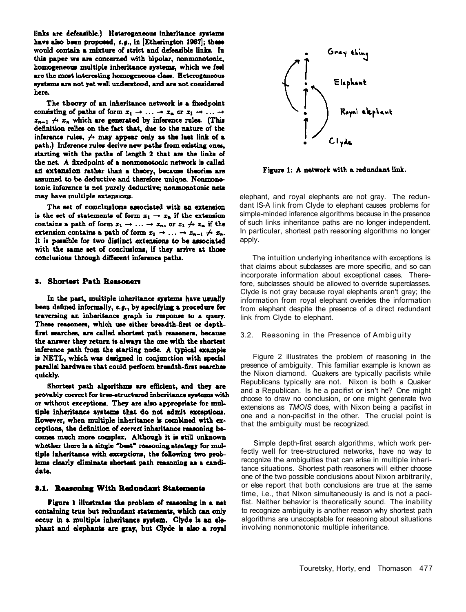links are defeasible.) Heterogeneous inheritance systems have also been proposed, e.g., in [Etherington 1987]; these would contain a mixture of strict and defeasible links. In this paper we are concerned with bipolar, nonmonotonic, homogeneous multiple inheritance systems, which we feel are the most interesting homogeneous class. Heterogeneous systems are not yet well understood, and are not considered here.

The theory of an inheritance network is a fixedpoint consisting of paths of form  $x_1 \rightarrow \ldots \rightarrow x_n$  or  $x_1 \rightarrow \ldots \rightarrow$  $x_{n-1} \nrightarrow x_n$  which are generated by inference rules. (This definition relies on the fact that, due to the nature of the inference rules,  $\leftrightarrow$  may appear only as the last link of a path.) Inference rules derive new paths from existing ones, starting with the paths of length 2 that are the links of the net. A fixedpoint of a nonmonotonic network is called an extension rather than a theory, because theories are assumed to be deductive and therefore unique. Nonmonotonic inference is not purely deductive; nonmonotonic nets may have multiple extensions.

The set of conclusions associated with an extension is the set of statements of form  $x_1 \rightarrow x_n$  if the extension contains a path of form  $x_1 \rightarrow \ldots \rightarrow x_n$ , or  $x_1 \not\rightarrow x_n$  if the extension contains a path of form  $x_1 \rightarrow \ldots \rightarrow x_{n-1} \not\rightarrow x_n$ . It is possible for two distinct extensions to be associated with the same set of conclusions, if they arrive at those conclusions through different inference paths.

#### 3. Shortest Path Reasoners

In the past, multiple inheritance systems have usually been defined informally, e.g., by specifying a procedure for traversing an inheritance graph in response to a query. These reasoners, which use either breadth-first or depthfirst searches, are called shortest path reasoners, because the answer they return is always the one with the shortest inference path from the starting node. A typical example is NETL, which was designed in conjunction with special parallel hardware that could perform breadth-first searches quickly.

Shortest path algorithms are efficient, and they are provably correct for tree-structured inheritance systems with or without exceptions. They are also appropriate for multiple inheritance systems that do not admit exceptions. However, when multiple inheritance is combined with exceptions, the definition of correct inheritance reasoning becomes much more complex. Although it is still unknown whether there is a single "best" reasoning strategy for multiple inheritance with exceptions, the following two problems clearly eliminate shortest path reasoning as a candidate.

#### 3.1. Reasoning With Redundant Statements

Figure 1 illustrates the problem of reasoning in a net containing true but redundant statements, which can only occur in a multiple inheritance system. Clyde is an elephant and elephants are gray, but Clyde is also a royal



Figure 1: A network with a redundant link.

elephant, and royal elephants are not gray. The redundant IS-A link from Clyde to elephant causes problems for simple-minded inference algorithms because in the presence of such links inheritance paths are no longer independent. In particular, shortest path reasoning algorithms no longer apply.

The intuition underlying inheritance with exceptions is that claims about subclasses are more specific, and so can incorporate information about exceptional cases. Therefore, subclasses should be allowed to override superclasses. Clyde is not gray because royal elephants aren't gray; the information from royal elephant overides the information from elephant despite the presence of a direct redundant link from Clyde to elephant.

## 3.2. Reasoning in the Presence of Ambiguity

Figure 2 illustrates the problem of reasoning in the presence of ambiguity. This familiar example is known as the Nixon diamond. Quakers are typically pacifists while Republicans typically are not. Nixon is both a Quaker and a Republican. Is he a pacifist or isn't he? One might choose to draw no conclusion, or one might generate two extensions as *TMOIS* does, with Nixon being a pacifist in one and a non-pacifist in the other. The crucial point is that the ambiguity must be recognized.

Simple depth-first search algorithms, which work perfectly well for tree-structured networks, have no way to recognize the ambiguities that can arise in multiple inheritance situations. Shortest path reasoners will either choose one of the two possible conclusions about Nixon arbitrarily, or else report that both conclusions are true at the same time, i.e., that Nixon simultaneously is and is not a pacifist. Neither behavior is theoretically sound. The inability to recognize ambiguity is another reason why shortest path algorithms are unacceptable for reasoning about situations involving nonmonotonic multiple inheritance.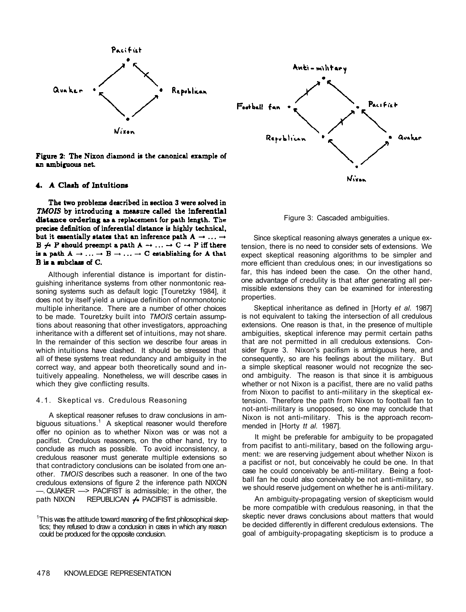

Figure 2: The Nixon diamond is the canonical example of an ambiguous net.

#### 4. A Clash of Intuitions

The two problems described in section 3 were solved in TMOIS by introducing a measure called the inferential distance ordering as a replacement for path length. The precise definition of inferential distance is highly technical, but it essentially states that an inference path  $A \rightarrow \ldots \rightarrow$  $B \nrightarrow P$  should preempt a path  $A \rightarrow \ldots \rightarrow C \rightarrow P$  iff there is a path  $A \rightarrow \ldots \rightarrow B \rightarrow \ldots \rightarrow C$  establishing for A that B is a subclass of C.

Although inferential distance is important for distinguishing inheritance systems from other nonmontonic reasoning systems such as default logic [Touretzky 1984], it does not by itself yield a unique definition of nonmonotonic multiple inheritance. There are a number of other choices to be made. Touretzky built into *TMOIS* certain assumptions about reasoning that other investigators, approaching inheritance with a different set of intuitions, may not share. In the remainder of this section we describe four areas in which intuitions have clashed. It should be stressed that all of these systems treat redundancy and ambiguity in the correct way, and appear both theoretically sound and intuitively appealing. Nonetheless, we will describe cases in which they give conflicting results.

#### 4.1. Skeptical vs. Credulous Reasoning

A skeptical reasoner refuses to draw conclusions in ambiguous situations. $1$  A skeptical reasoner would therefore offer no opinion as to whether Nixon was or was not a pacifist. Credulous reasoners, on the other hand, try to conclude as much as possible. To avoid inconsistency, a credulous reasoner must generate multiple extensions so that contradictory conclusions can be isolated from one another. *TMOIS* describes such a reasoner. In one of the two credulous extensions of figure 2 the inference path NIXON —. QUAKER —> PACIFIST is admissible; in the other, the path NIXON REPUBLICAN  $\leftrightarrow$  PACIFIST is admissible.



Figure 3: Cascaded ambiguities.

Since skeptical reasoning always generates a unique extension, there is no need to consider sets of extensions. We expect skeptical reasoning algorithms to be simpler and more efficient than credulous ones; in our investigations so far, this has indeed been the case. On the other hand, one advantage of credulity is that after generating all permissible extensions they can be examined for interesting properties.

Skeptical inheritance as defined in [Horty *et al.* 1987] is not equivalent to taking the intersection of all credulous extensions. One reason is that, in the presence of multiple ambiguities, skeptical inference may permit certain paths that are not permitted in all credulous extensions. Consider figure 3. Nixon's pacifism is ambiguous here, and consequently, so are his feelings about the military. But a simple skeptical reasoner would not recognize the second ambiguity. The reason is that since it is ambiguous whether or not Nixon is a pacifist, there are no valid paths from Nixon to pacifist to anti-military in the skeptical extension. Therefore the path from Nixon to football fan to not-anti-military is unopposed, so one may conclude that Nixon is not anti-military. This is the approach recommended in [Horty *tt al.* 1987].

It might be preferable for ambiguity to be propagated from pacifist to anti-military, based on the following argument: we are reserving judgement about whether Nixon is a pacifist or not, but conceivably he could be one. In that case he could conceivably be anti-military. Being a football fan he could also conceivably be not anti-military, so we should reserve judgement on whether he is anti-military.

An ambiguity-propagating version of skepticism would be more compatible with credulous reasoning, in that the skeptic never draws conclusions about matters that would be decided differently in different credulous extensions. The goal of ambiguity-propagating skepticism is to produce a

<sup>&</sup>lt;sup>1</sup>This was the attitude toward reasoning of the first philosophical skeptics; they refused to draw a conclusion in cases in which any reason could be produced for the opposite conclusion.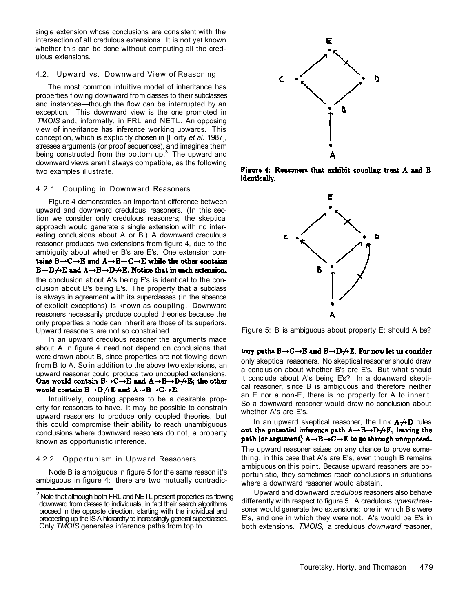single extension whose conclusions are consistent with the intersection of all credulous extensions. It is not yet known whether this can be done without computing all the credulous extensions.

# 4.2. Upward vs. Downward View of Reasoning

The most common intuitive model of inheritance has properties flowing downward from classes to their subclasses and instances—though the flow can be interrupted by an exception. This downward view is the one promoted in *TMOIS* and, informally, in FRL and NETL. An opposing view of inheritance has inference working upwards. This conception, which is explicitly chosen in [Horty *et al.* 1987], stresses arguments (or proof sequences), and imagines them being constructed from the bottom up. $3$  The upward and downward views aren't always compatible, as the following two examples illustrate.

#### 4.2.1. Coupling in Downward Reasoners

Figure 4 demonstrates an important difference between upward and downward credulous reasoners. (In this section we consider only credulous reasoners; the skeptical approach would generate a single extension with no interesting conclusions about A or B.) A downward credulous reasoner produces two extensions from figure 4, due to the ambiguity about whether B's are E's. One extension contains  $B \rightarrow C \rightarrow E$  and  $A \rightarrow B \rightarrow C \rightarrow E$  while the other contains  $B \rightarrow D \rightarrow E$  and  $A \rightarrow B \rightarrow D \rightarrow E$ . Notice that in each extension, the conclusion about A's being E's is identical to the conclusion about B's being E's. The property that a subclass is always in agreement with its superclasses (in the absence of explicit exceptions) is known as coupling. Downward reasoners necessarily produce coupled theories because the only properties a node can inherit are those of its superiors. Upward reasoners are not so constrained.

In an upward credulous reasoner the arguments made about A in figure 4 need not depend on conclusions that were drawn about B, since properties are not flowing down from B to A. So in addition to the above two extensions, an upward reasoner could produce two uncoupled extensions.<br>One would contain  $B \rightarrow C \rightarrow E$  and  $A \rightarrow B \rightarrow D \rightarrow E$ ; the other would contain  $B \rightarrow D \not\rightarrow E$  and  $A \rightarrow B \rightarrow C \rightarrow E$ .

Intuitively, coupling appears to be a desirable property for reasoners to have. It may be possible to constrain upward reasoners to produce only coupled theories, but this could compromise their ability to reach unambiguous conclusions where downward reasoners do not, a property known as opportunistic inference.

## 4.2.2. Opportunism in Upward Reasoners

Node B is ambiguous in figure 5 for the same reason it's ambiguous in figure 4: there are two mutually contradic-



Figure 4: Reasoners that exhibit coupling treat A and B identically.



Figure 5: B is ambiguous about property E; should A be?

tory paths  $B \rightarrow C \rightarrow E$  and  $B \rightarrow D \not\rightarrow E$ . For now let us consider only skeptical reasoners. No skeptical reasoner should draw a conclusion about whether B's are E's. But what should it conclude about A's being E's? In a downward skeptical reasoner, since B is ambiguous and therefore neither an E nor a non-E, there is no property for A to inherit. So a downward reasoner would draw no conclusion about whether A's are E's.

In an upward skeptical reasoner, the link  $A \not\rightarrow D$  rules out the potential inference path  $A \rightarrow B \rightarrow D \rightarrow E$ , leaving the path (or argument)  $A \rightarrow B \rightarrow C \rightarrow E$  to go through unopposed.

The upward reasoner seizes on any chance to prove something, in this case that A's are E's, even though B remains ambiguous on this point. Because upward reasoners are opportunistic, they sometimes reach conclusions in situations where a downward reasoner would abstain.

Upward and downward *credulous* reasoners also behave differently with respect to figure 5. A credulous *upward* reasoner would generate two extensions: one in which B's were E's, and one in which they were not. A's would be E's in both extensions. *TMOIS,* a credulous *downward* reasoner,

 $2$  Note that although both FRL and NETL present properties as flowing downward from dasses to individuals, in fact their search algorithms proceed in the opposite direction, starting with the individual and proceeding up the IS-A hierarchy to increasingly general superclasses. Only *TMOIS* generates inference paths from top to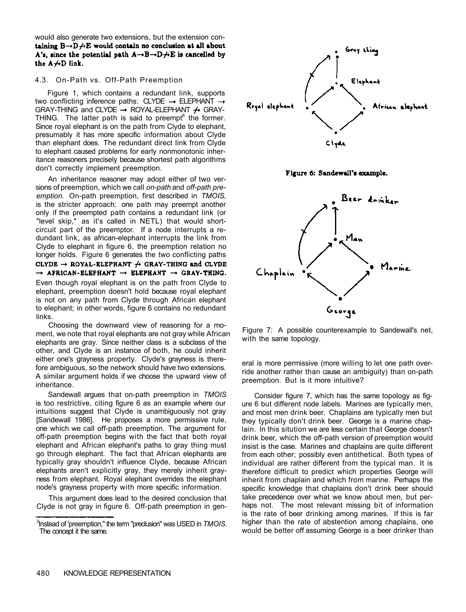would also generate two extensions, but the extension containing  $B \rightarrow D \rightarrow E$  would contain no conclusion at all about A's, since the potential path  $A \rightarrow B \rightarrow D \rightarrow E$  is cancelled by the  $A \nrightarrow D$  link.

# 4.3. On-Path vs. Off-Path Preemption

Figure 1, which contains a redundant link, supports two conflicting inference paths: CLYDE  $\rightarrow$  ELEPHANT  $\rightarrow$ GRAY-THING and CLYDE  $\rightarrow$  ROYAL-ELEPHANT  $\rightarrow$  GRAY-THING. The latter path is said to preempt $^8$  the former. Since royal elephant is on the path from Clyde to elephant, presumably it has more specific information about Clyde than elephant does. The redundant direct link from Clyde to elephant caused problems for early nonmonotonic inheritance reasoners precisely because shortest path algorithms don't correctly implement preemption.

An inheritance reasoner may adopt either of two versions of preemption, which we call *on-path* and *off-path preemption.* On-path preemption, first described in *TMOIS,*  is the stricter approach: one path may preempt another only if the preempted path contains a redundant link (or "level skip," as it's called in NETL) that would shortcircuit part of the preemptor. If a node interrupts a redundant link, as african-elephant interrupts the link from Clyde to elephant in figure 6, the preemption relation no longer holds. Figure 6 generates the two conflicting paths CLYDE  $\rightarrow$  ROYAL-ELEPHANT  $\rightarrow$  GRAY-THING and CLYDE  $\rightarrow$  APRICAN-ELEPHANT  $\rightarrow$  ELEPHANT  $\rightarrow$  GRAY-THING. Even though royal elephant is on the path from Clyde to elephant, preemption doesn't hold because royal elephant is not on any path from Clyde through African elephant to elephant; in other words, figure 6 contains no redundant links.

Choosing the downward view of reasoning for a moment, we note that royal elephants are not gray while African elephants are gray. Since neither class is a subclass of the other, and Clyde is an instance of both, he could inherit either one's grayness property. Clyde's grayness is therefore ambiguous, so the network should have two extensions. A similar argument holds if we choose the upward view of inheritance.

Sandewall argues that on-path preemption in *TMOIS*  is too restrictive, citing figure 6 as an example where our intuitions suggest that Clyde is unambiguously not gray [Sandewall 1986]. He proposes a more permissive rule, one which we call off-path preemption. The argument for off-path preemption begins with the fact that both royal elephant and African elephant's paths to gray thing must go through elephant. The fact that African elephants are typically gray shouldn't influence Clyde, because African elephants aren't explicitly gray, they merely inherit grayness from elephant. Royal elephant overrides the elephant node's grayness property with more specific information.

This argument does lead to the desired conclusion that Clyde is not gray in figure 6. Off-path preemption in gen-







Figure 7: A possible counterexample to Sandewall's net, with the same topology.

eral is more permissive (more willing to let one path override another rather than cause an ambiguity) than on-path preemption. But is it more intuitive?

Consider figure 7, which has the same topology as figure 6 but different node labels. Marines are typically men, and most men drink beer. Chaplains are typically men but they typically don't drink beer. George is a marine chaplain. In this sitution we are less certain that George doesn't drink beer, which the off-path version of preemption would insist is the case. Marines and chaplains are quite different from each other; possibly even antithetical. Both types of individual are rather different from the typical man. It is therefore difficult to predict which properties George will inherit from chaplain and which from marine. Perhaps the specific knowledge that chaplains don't drink beer should take precedence over what we know about men, but perhaps not. The most relevant missing bit of information is the rate of beer drinking among marines. If this is far higher than the rate of abstention among chaplains, one would be better off assuming George is a beer drinker than

<sup>3</sup> Instead of 'preemption," the term "preclusion" was USED in *TMOIS.*  The concept it the same.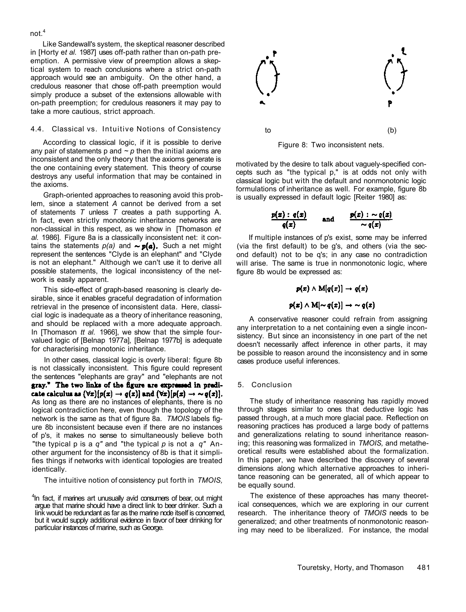Like Sandewall's system, the skeptical reasoner described in [Horty e*t al.* 1987] uses off-path rather than on-path preemption. A permissive view of preemption allows a skeptical system to reach conclusions where a strict on-path approach would see an ambiguity. On the other hand, a credulous reasoner that chose off-path preemption would simply produce a subset of the extensions allowable with on-path preemption; for credulous reasoners it may pay to take a more cautious, strict approach.

#### 4.4. Classical vs. Intuitive Notions of Consistency

According to classical logic, if it is possible to derive any pair of statements  $p$  and  $\sim p$  then the initial axioms are inconsistent and the only theory that the axioms generate is the one containing every statement. This theory of course destroys any useful information that may be contained in the axioms.

Graph-oriented approaches to reasoning avoid this problem, since a statement *A* cannot be derived from a set of statements *T* unless *T* creates a path supporting A. In fact, even strictly monotonic inheritance networks are non-classical in this respect, as we show in [Thomason *et al.* 1986]. Figure 8a is a classically inconsistent net: it contains the statements  $p(a)$  and  $\sim p(a)$ . Such a net might represent the sentences "Clyde is an elephant" and "Clyde is not an elephant." Although we can't use it to derive all possible statements, the logical inconsistency of the network is easily apparent.

This side-effect of graph-based reasoning is clearly desirable, since it enables graceful degradation of information retrieval in the presence of inconsistent data. Here, classicial logic is inadequate as a theory of inheritance reasoning, and should be replaced with a more adequate approach. In [Thomason *tt al.* 1966], we show that the simple fourvalued logic of [Belnap 1977a], [Belnap 1977b] is adequate for characterising monotonic inheritance.

In other cases, classical logic is overly liberal: figure 8b is not classically inconsistent. This figure could represent the sentences "elephants are gray" and "elephants are not gray." The two links of the figure are expressed in predicate calculus as  $(\forall x)[p(x) \rightarrow q(x)]$  and  $(\forall x)[p(x) \rightarrow \sim q(x)].$ As long as there are no instances of elephants, there is no logical contradiction here, even though the topology of the network is the same as that of figure 8a. *TMOIS* labels figure 8b inconsistent because even if there are no instances of p's, it makes no sense to simultaneously believe both "the typical p is a *q"* and "the typical *p* is not a *q"* Another argument for the inconsistency of 8b is that it simplifies things if networks with identical topologies are treated identically.

The intuitive notion of consistency put forth in *TMOIS,* 

<sup>4</sup>In fact, if marines art unusually avid consumers of bear, out might argue that marine should have a direct link to beer drinker. Such a link would be redundant as far as the marine node itself is concerned, but it would supply additional evidence in favor of beer drinking for particular instances of marine, such as George.



Figure 8: Two inconsistent nets.

motivated by the desire to talk about vaguely-specified concepts such as "the typical p," is at odds not only with classical logic but with the default and nonmonotonic logic formulations of inheritance as well. For example, figure 8b is usually expressed in default logic [Reiter 1980] as:

$$
\frac{p(x) : q(x)}{q(x)} \qquad \text{and} \qquad \frac{p(x) : \sim q(x)}{\sim q(x)}
$$

If multiple instances of p's exist, some may be inferred (via the first default) to be g's, and others (via the second default) not to be q's; in any case no contradiction will arise. The same is true in nonmonotonic logic, where figure 8b would be expressed as:

$$
p(x) \wedge M[q(x)] \rightarrow q(x)
$$
  

$$
p(x) \wedge M[\sim q(x)] \rightarrow \sim q(x)
$$

A conservative reasoner could refrain from assigning any interpretation to a net containing even a single inconsistency. But since an inconsistency in one part of the net doesn't necessarily affect inference in other parts, it may be possible to reason around the inconsistency and in some cases produce useful inferences.

#### 5. Conclusion

The study of inheritance reasoning has rapidly moved through stages similar to ones that deductive logic has passed through, at a much more glacial pace. Reflection on reasoning practices has produced a large body of patterns and generalizations relating to sound inheritance reasoning; this reasoning was formalized in *TMOIS,* and metatheoretical results were established about the formalization. In this paper, we have described the discovery of several dimensions along which alternative approaches to inheritance reasoning can be generated, all of which appear to be equally sound.

The existence of these approaches has many theoretical consequences, which we are exploring in our current research. The inheritance theory of *TMOIS* needs to be generalized; and other treatments of nonmonotonic reasoning may need to be liberalized. For instance, the modal

# not.<sup>4</sup>